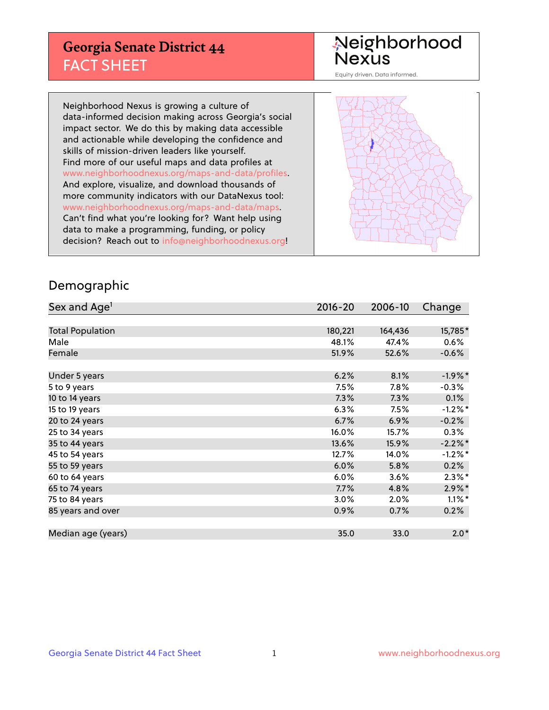## **Georgia Senate District 44** FACT SHEET

# Neighborhood<br>Nexus

Equity driven. Data informed.

Neighborhood Nexus is growing a culture of data-informed decision making across Georgia's social impact sector. We do this by making data accessible and actionable while developing the confidence and skills of mission-driven leaders like yourself. Find more of our useful maps and data profiles at www.neighborhoodnexus.org/maps-and-data/profiles. And explore, visualize, and download thousands of more community indicators with our DataNexus tool: www.neighborhoodnexus.org/maps-and-data/maps. Can't find what you're looking for? Want help using data to make a programming, funding, or policy decision? Reach out to [info@neighborhoodnexus.org!](mailto:info@neighborhoodnexus.org)



### Demographic

| Sex and Age <sup>1</sup> | $2016 - 20$ | 2006-10 | Change     |
|--------------------------|-------------|---------|------------|
|                          |             |         |            |
| <b>Total Population</b>  | 180,221     | 164,436 | 15,785*    |
| Male                     | 48.1%       | 47.4%   | 0.6%       |
| Female                   | 51.9%       | 52.6%   | $-0.6%$    |
|                          |             |         |            |
| Under 5 years            | 6.2%        | 8.1%    | $-1.9%$ *  |
| 5 to 9 years             | 7.5%        | $7.8\%$ | $-0.3%$    |
| 10 to 14 years           | 7.3%        | 7.3%    | 0.1%       |
| 15 to 19 years           | 6.3%        | 7.5%    | $-1.2%$ *  |
| 20 to 24 years           | 6.7%        | 6.9%    | $-0.2%$    |
| 25 to 34 years           | 16.0%       | 15.7%   | $0.3\%$    |
| 35 to 44 years           | 13.6%       | 15.9%   | $-2.2\%$ * |
| 45 to 54 years           | 12.7%       | 14.0%   | $-1.2%$ *  |
| 55 to 59 years           | 6.0%        | 5.8%    | 0.2%       |
| 60 to 64 years           | 6.0%        | 3.6%    | $2.3\%$ *  |
| 65 to 74 years           | 7.7%        | 4.8%    | $2.9\%$ *  |
| 75 to 84 years           | 3.0%        | 2.0%    | $1.1\%$ *  |
| 85 years and over        | 0.9%        | 0.7%    | 0.2%       |
|                          |             |         |            |
| Median age (years)       | 35.0        | 33.0    | $2.0*$     |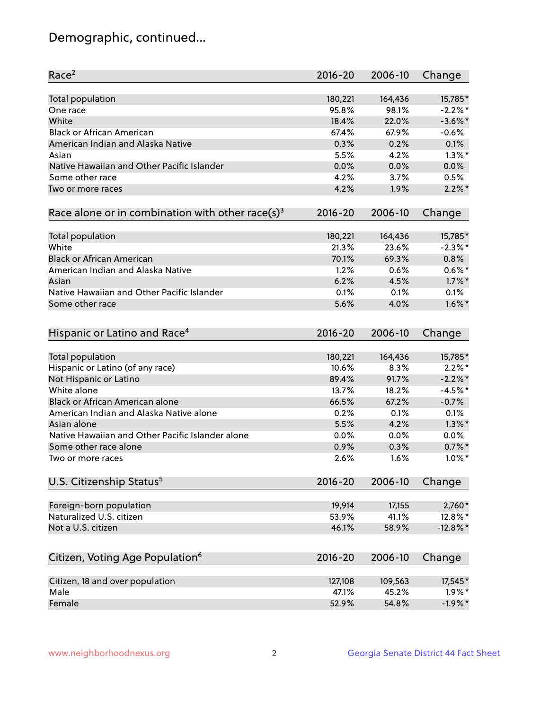## Demographic, continued...

| Race <sup>2</sup>                                            | $2016 - 20$ | 2006-10 | Change      |
|--------------------------------------------------------------|-------------|---------|-------------|
| <b>Total population</b>                                      | 180,221     | 164,436 | 15,785*     |
| One race                                                     | 95.8%       | 98.1%   | $-2.2%$ *   |
| White                                                        | 18.4%       | 22.0%   | $-3.6\%$ *  |
| <b>Black or African American</b>                             | 67.4%       | 67.9%   | $-0.6%$     |
| American Indian and Alaska Native                            | 0.3%        | 0.2%    | 0.1%        |
| Asian                                                        | 5.5%        | 4.2%    | $1.3\%$ *   |
| Native Hawaiian and Other Pacific Islander                   | 0.0%        | 0.0%    | 0.0%        |
| Some other race                                              | 4.2%        | 3.7%    | 0.5%        |
| Two or more races                                            | 4.2%        | 1.9%    | $2.2\%$ *   |
| Race alone or in combination with other race(s) <sup>3</sup> | $2016 - 20$ | 2006-10 | Change      |
| Total population                                             | 180,221     | 164,436 | 15,785*     |
| White                                                        | 21.3%       | 23.6%   | $-2.3%$ *   |
| <b>Black or African American</b>                             | 70.1%       | 69.3%   | 0.8%        |
| American Indian and Alaska Native                            | 1.2%        | 0.6%    | $0.6\%$ *   |
| Asian                                                        | 6.2%        | 4.5%    | $1.7\%$ *   |
| Native Hawaiian and Other Pacific Islander                   | 0.1%        | 0.1%    | 0.1%        |
| Some other race                                              | 5.6%        | 4.0%    | $1.6\%$ *   |
| Hispanic or Latino and Race <sup>4</sup>                     | $2016 - 20$ | 2006-10 | Change      |
| <b>Total population</b>                                      | 180,221     | 164,436 | 15,785*     |
| Hispanic or Latino (of any race)                             | 10.6%       | 8.3%    | $2.2\%$ *   |
| Not Hispanic or Latino                                       | 89.4%       | 91.7%   | $-2.2\%$ *  |
| White alone                                                  | 13.7%       | 18.2%   | $-4.5%$ *   |
| <b>Black or African American alone</b>                       | 66.5%       | 67.2%   | $-0.7%$     |
| American Indian and Alaska Native alone                      | 0.2%        | 0.1%    | 0.1%        |
| Asian alone                                                  | 5.5%        | 4.2%    | $1.3\%$ *   |
| Native Hawaiian and Other Pacific Islander alone             | 0.0%        | 0.0%    | 0.0%        |
| Some other race alone                                        | 0.9%        | 0.3%    | $0.7%$ *    |
| Two or more races                                            | 2.6%        | 1.6%    | $1.0\%$ *   |
| U.S. Citizenship Status <sup>5</sup>                         | 2016-20     | 2006-10 | Change      |
| Foreign-born population                                      | 19,914      | 17,155  | 2,760*      |
| Naturalized U.S. citizen                                     | 53.9%       | 41.1%   | 12.8%*      |
| Not a U.S. citizen                                           | 46.1%       | 58.9%   | $-12.8\%$ * |
|                                                              | 2016-20     | 2006-10 | Change      |
| Citizen, Voting Age Population <sup>6</sup>                  |             |         |             |
| Citizen, 18 and over population                              | 127,108     | 109,563 | 17,545*     |
| Male                                                         | 47.1%       | 45.2%   | $1.9\%$ *   |
| Female                                                       | 52.9%       | 54.8%   | $-1.9%$ *   |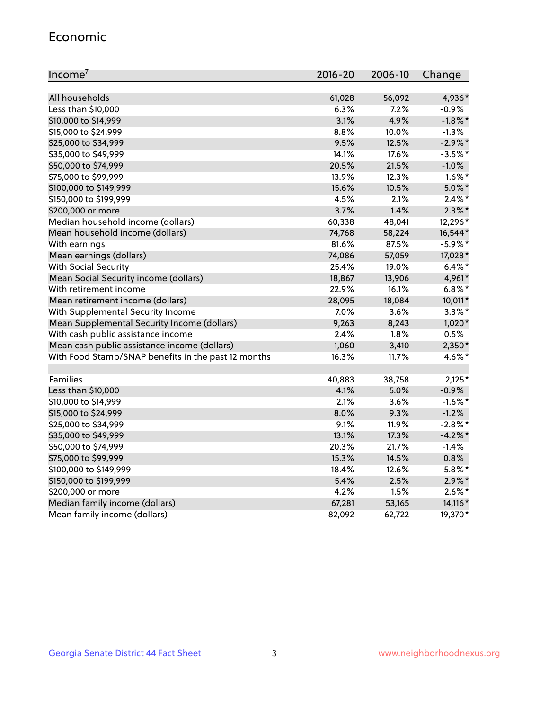#### Economic

| Income <sup>7</sup>                                 | $2016 - 20$ | 2006-10 | Change     |
|-----------------------------------------------------|-------------|---------|------------|
|                                                     |             |         |            |
| All households                                      | 61,028      | 56,092  | 4,936*     |
| Less than \$10,000                                  | 6.3%        | 7.2%    | $-0.9%$    |
| \$10,000 to \$14,999                                | 3.1%        | 4.9%    | $-1.8\%$ * |
| \$15,000 to \$24,999                                | 8.8%        | 10.0%   | $-1.3%$    |
| \$25,000 to \$34,999                                | 9.5%        | 12.5%   | $-2.9\%$ * |
| \$35,000 to \$49,999                                | 14.1%       | 17.6%   | $-3.5%$ *  |
| \$50,000 to \$74,999                                | 20.5%       | 21.5%   | $-1.0%$    |
| \$75,000 to \$99,999                                | 13.9%       | 12.3%   | $1.6\%$ *  |
| \$100,000 to \$149,999                              | 15.6%       | 10.5%   | $5.0\%$ *  |
| \$150,000 to \$199,999                              | 4.5%        | 2.1%    | $2.4\%$ *  |
| \$200,000 or more                                   | 3.7%        | 1.4%    | $2.3\%$ *  |
| Median household income (dollars)                   | 60,338      | 48,041  | 12,296*    |
| Mean household income (dollars)                     | 74,768      | 58,224  | 16,544*    |
| With earnings                                       | 81.6%       | 87.5%   | $-5.9\%$ * |
| Mean earnings (dollars)                             | 74,086      | 57,059  | 17,028*    |
| <b>With Social Security</b>                         | 25.4%       | 19.0%   | $6.4\%$ *  |
| Mean Social Security income (dollars)               | 18,867      | 13,906  | 4,961*     |
| With retirement income                              | 22.9%       | 16.1%   | $6.8\%$ *  |
| Mean retirement income (dollars)                    | 28,095      | 18,084  | 10,011*    |
| With Supplemental Security Income                   | 7.0%        | 3.6%    | $3.3\%$ *  |
| Mean Supplemental Security Income (dollars)         | 9,263       | 8,243   | $1,020*$   |
| With cash public assistance income                  | 2.4%        | 1.8%    | 0.5%       |
| Mean cash public assistance income (dollars)        | 1,060       | 3,410   | $-2,350*$  |
| With Food Stamp/SNAP benefits in the past 12 months | 16.3%       | 11.7%   | 4.6%*      |
|                                                     |             |         |            |
| Families                                            | 40,883      | 38,758  | $2,125*$   |
| Less than \$10,000                                  | 4.1%        | 5.0%    | $-0.9%$    |
| \$10,000 to \$14,999                                | 2.1%        | 3.6%    | $-1.6\%$ * |
| \$15,000 to \$24,999                                | 8.0%        | 9.3%    | $-1.2%$    |
| \$25,000 to \$34,999                                | 9.1%        | 11.9%   | $-2.8\%$ * |
| \$35,000 to \$49,999                                | 13.1%       | 17.3%   | $-4.2\%$ * |
| \$50,000 to \$74,999                                | 20.3%       | 21.7%   | $-1.4%$    |
| \$75,000 to \$99,999                                | 15.3%       | 14.5%   | 0.8%       |
| \$100,000 to \$149,999                              | 18.4%       | 12.6%   | $5.8\%$ *  |
| \$150,000 to \$199,999                              | 5.4%        | 2.5%    | $2.9\%$ *  |
| \$200,000 or more                                   | 4.2%        | 1.5%    | $2.6\%$ *  |
| Median family income (dollars)                      | 67,281      | 53,165  | 14,116*    |
| Mean family income (dollars)                        | 82,092      | 62,722  | 19,370*    |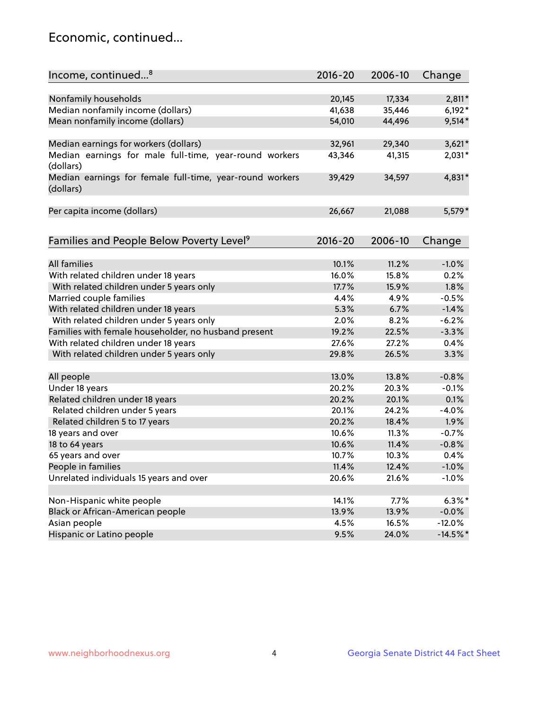## Economic, continued...

| Income, continued <sup>8</sup>                                        | $2016 - 20$ | 2006-10 | Change     |
|-----------------------------------------------------------------------|-------------|---------|------------|
|                                                                       |             |         |            |
| Nonfamily households                                                  | 20,145      | 17,334  | $2,811*$   |
| Median nonfamily income (dollars)                                     | 41,638      | 35,446  | $6,192*$   |
| Mean nonfamily income (dollars)                                       | 54,010      | 44,496  | $9,514*$   |
| Median earnings for workers (dollars)                                 | 32,961      | 29,340  | $3,621*$   |
| Median earnings for male full-time, year-round workers<br>(dollars)   | 43,346      | 41,315  | 2,031*     |
| Median earnings for female full-time, year-round workers<br>(dollars) | 39,429      | 34,597  | 4,831*     |
| Per capita income (dollars)                                           | 26,667      | 21,088  | 5,579*     |
| Families and People Below Poverty Level <sup>9</sup>                  | 2016-20     | 2006-10 | Change     |
|                                                                       |             |         |            |
| <b>All families</b>                                                   | 10.1%       | 11.2%   | $-1.0%$    |
| With related children under 18 years                                  | 16.0%       | 15.8%   | 0.2%       |
| With related children under 5 years only                              | 17.7%       | 15.9%   | 1.8%       |
| Married couple families                                               | 4.4%        | 4.9%    | $-0.5%$    |
| With related children under 18 years                                  | 5.3%        | 6.7%    | $-1.4%$    |
| With related children under 5 years only                              | 2.0%        | 8.2%    | $-6.2%$    |
| Families with female householder, no husband present                  | 19.2%       | 22.5%   | $-3.3%$    |
| With related children under 18 years                                  | 27.6%       | 27.2%   | 0.4%       |
| With related children under 5 years only                              | 29.8%       | 26.5%   | 3.3%       |
|                                                                       |             |         |            |
| All people                                                            | 13.0%       | 13.8%   | $-0.8%$    |
| Under 18 years                                                        | 20.2%       | 20.3%   | $-0.1%$    |
| Related children under 18 years                                       | 20.2%       | 20.1%   | 0.1%       |
| Related children under 5 years                                        | 20.1%       | 24.2%   | $-4.0%$    |
| Related children 5 to 17 years                                        | 20.2%       | 18.4%   | 1.9%       |
| 18 years and over                                                     | 10.6%       | 11.3%   | $-0.7%$    |
| 18 to 64 years                                                        | 10.6%       | 11.4%   | $-0.8%$    |
| 65 years and over                                                     | 10.7%       | 10.3%   | 0.4%       |
| People in families                                                    | 11.4%       | 12.4%   | $-1.0%$    |
| Unrelated individuals 15 years and over                               | 20.6%       | 21.6%   | $-1.0%$    |
|                                                                       |             |         |            |
| Non-Hispanic white people                                             | 14.1%       | 7.7%    | $6.3\%$ *  |
| Black or African-American people                                      | 13.9%       | 13.9%   | $-0.0\%$   |
| Asian people                                                          | 4.5%        | 16.5%   | $-12.0%$   |
| Hispanic or Latino people                                             | 9.5%        | 24.0%   | $-14.5%$ * |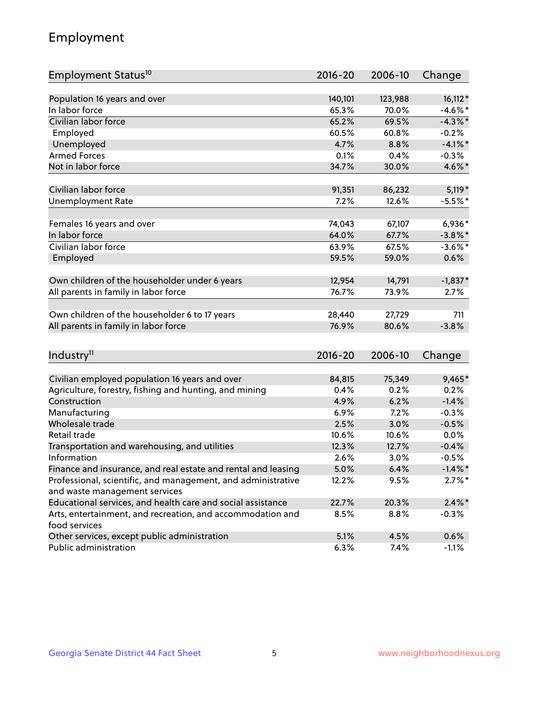## Employment

| Employment Status <sup>10</sup>                                             | $2016 - 20$ | 2006-10 | Change     |
|-----------------------------------------------------------------------------|-------------|---------|------------|
|                                                                             |             |         |            |
| Population 16 years and over                                                | 140,101     | 123,988 | $16,112*$  |
| In labor force                                                              | 65.3%       | 70.0%   | $-4.6\%$ * |
| Civilian labor force                                                        | 65.2%       | 69.5%   | $-4.3%$ *  |
| Employed                                                                    | 60.5%       | 60.8%   | $-0.2%$    |
| Unemployed                                                                  | 4.7%        | 8.8%    | $-4.1\%$ * |
| <b>Armed Forces</b>                                                         | 0.1%        | 0.4%    | $-0.3%$    |
| Not in labor force                                                          | 34.7%       | 30.0%   | 4.6%*      |
| Civilian labor force                                                        | 91,351      | 86,232  | $5,119*$   |
| <b>Unemployment Rate</b>                                                    | 7.2%        | 12.6%   | $-5.5%$ *  |
|                                                                             |             |         |            |
| Females 16 years and over                                                   | 74,043      | 67,107  | 6,936*     |
| In labor force                                                              | 64.0%       | 67.7%   | $-3.8\%$ * |
| Civilian labor force                                                        | 63.9%       | 67.5%   | $-3.6\%$ * |
| Employed                                                                    | 59.5%       | 59.0%   | 0.6%       |
| Own children of the householder under 6 years                               | 12,954      | 14,791  | $-1,837*$  |
|                                                                             | 76.7%       | 73.9%   | 2.7%       |
| All parents in family in labor force                                        |             |         |            |
| Own children of the householder 6 to 17 years                               | 28,440      | 27,729  | 711        |
| All parents in family in labor force                                        | 76.9%       | 80.6%   | $-3.8%$    |
|                                                                             |             |         |            |
| Industry <sup>11</sup>                                                      | $2016 - 20$ | 2006-10 | Change     |
|                                                                             |             |         |            |
| Civilian employed population 16 years and over                              | 84,815      | 75,349  | 9,465*     |
| Agriculture, forestry, fishing and hunting, and mining                      | 0.4%        | 0.2%    | 0.2%       |
| Construction                                                                | 4.9%        | 6.2%    | $-1.4%$    |
| Manufacturing                                                               | 6.9%        | 7.2%    | $-0.3%$    |
| Wholesale trade                                                             | 2.5%        | 3.0%    | $-0.5%$    |
| Retail trade                                                                | 10.6%       | 10.6%   | 0.0%       |
| Transportation and warehousing, and utilities                               | 12.3%       | 12.7%   | $-0.4%$    |
| Information                                                                 | 2.6%        | 3.0%    | $-0.5%$    |
| Finance and insurance, and real estate and rental and leasing               | 5.0%        | 6.4%    | $-1.4\%$ * |
| Professional, scientific, and management, and administrative                | 12.2%       | 9.5%    | $2.7\%$ *  |
| and waste management services                                               |             |         |            |
| Educational services, and health care and social assistance                 | 22.7%       | 20.3%   | $2.4\%$ *  |
| Arts, entertainment, and recreation, and accommodation and<br>food services | 8.5%        | 8.8%    | $-0.3%$    |
| Other services, except public administration                                | 5.1%        | 4.5%    | 0.6%       |
| Public administration                                                       | 6.3%        | 7.4%    | $-1.1%$    |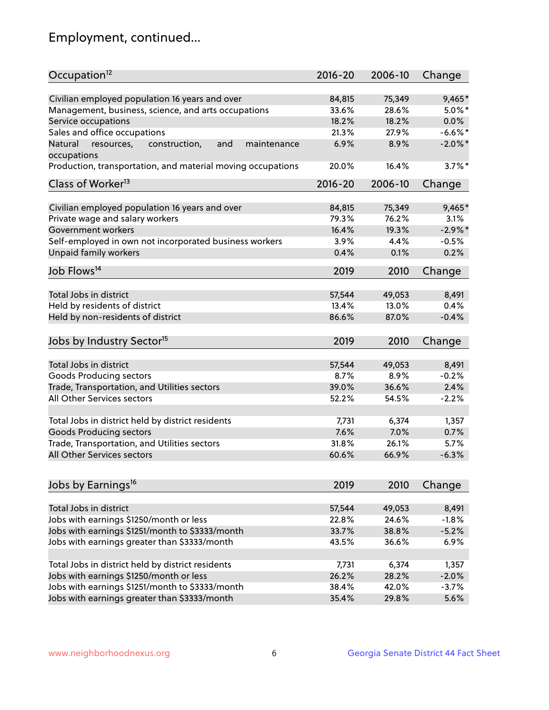## Employment, continued...

| Occupation <sup>12</sup>                                                        | $2016 - 20$ | 2006-10 | Change     |
|---------------------------------------------------------------------------------|-------------|---------|------------|
| Civilian employed population 16 years and over                                  | 84,815      | 75,349  | 9,465*     |
| Management, business, science, and arts occupations                             | 33.6%       | 28.6%   | $5.0\%$ *  |
| Service occupations                                                             | 18.2%       | 18.2%   | 0.0%       |
| Sales and office occupations                                                    | 21.3%       | 27.9%   | $-6.6%$ *  |
|                                                                                 | 6.9%        |         | $-2.0\%$ * |
| Natural<br>and<br>resources,<br>construction,<br>maintenance<br>occupations     |             | 8.9%    |            |
| Production, transportation, and material moving occupations                     | 20.0%       | 16.4%   | $3.7\%$ *  |
| Class of Worker <sup>13</sup>                                                   | $2016 - 20$ | 2006-10 | Change     |
| Civilian employed population 16 years and over                                  | 84,815      | 75,349  | 9,465*     |
| Private wage and salary workers                                                 | 79.3%       | 76.2%   | 3.1%       |
| Government workers                                                              | 16.4%       | 19.3%   | $-2.9%$ *  |
|                                                                                 | 3.9%        | 4.4%    | $-0.5%$    |
| Self-employed in own not incorporated business workers<br>Unpaid family workers | 0.4%        | 0.1%    | 0.2%       |
|                                                                                 |             |         |            |
| Job Flows <sup>14</sup>                                                         | 2019        | 2010    | Change     |
|                                                                                 |             |         |            |
| Total Jobs in district                                                          | 57,544      | 49,053  | 8,491      |
| Held by residents of district                                                   | 13.4%       | 13.0%   | 0.4%       |
| Held by non-residents of district                                               | 86.6%       | 87.0%   | $-0.4%$    |
| Jobs by Industry Sector <sup>15</sup>                                           | 2019        | 2010    | Change     |
| Total Jobs in district                                                          |             |         |            |
|                                                                                 | 57,544      | 49,053  | 8,491      |
| Goods Producing sectors                                                         | 8.7%        | 8.9%    | $-0.2%$    |
| Trade, Transportation, and Utilities sectors                                    | 39.0%       | 36.6%   | 2.4%       |
| All Other Services sectors                                                      | 52.2%       | 54.5%   | $-2.2%$    |
| Total Jobs in district held by district residents                               | 7,731       | 6,374   | 1,357      |
| <b>Goods Producing sectors</b>                                                  | 7.6%        | 7.0%    | 0.7%       |
| Trade, Transportation, and Utilities sectors                                    | 31.8%       | 26.1%   | 5.7%       |
| All Other Services sectors                                                      | 60.6%       | 66.9%   | $-6.3%$    |
|                                                                                 |             |         |            |
| Jobs by Earnings <sup>16</sup>                                                  | 2019        | 2010    | Change     |
| Total Jobs in district                                                          |             |         |            |
|                                                                                 | 57,544      | 49,053  | 8,491      |
| Jobs with earnings \$1250/month or less                                         | 22.8%       | 24.6%   | $-1.8%$    |
| Jobs with earnings \$1251/month to \$3333/month                                 | 33.7%       | 38.8%   | $-5.2%$    |
| Jobs with earnings greater than \$3333/month                                    | 43.5%       | 36.6%   | 6.9%       |
| Total Jobs in district held by district residents                               | 7,731       | 6,374   | 1,357      |
| Jobs with earnings \$1250/month or less                                         | 26.2%       | 28.2%   | $-2.0%$    |
| Jobs with earnings \$1251/month to \$3333/month                                 | 38.4%       | 42.0%   | $-3.7%$    |
| Jobs with earnings greater than \$3333/month                                    | 35.4%       | 29.8%   | 5.6%       |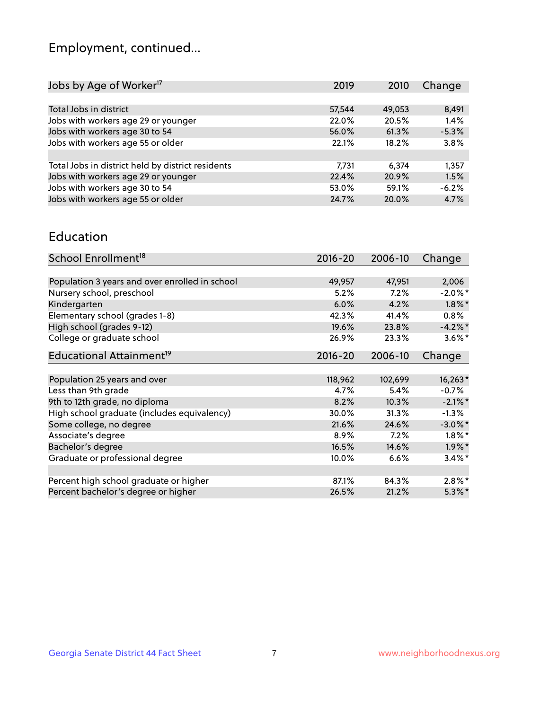## Employment, continued...

| 2019   | 2010   | Change  |
|--------|--------|---------|
|        |        |         |
| 57,544 | 49,053 | 8,491   |
| 22.0%  | 20.5%  | 1.4%    |
| 56.0%  | 61.3%  | $-5.3%$ |
| 22.1%  | 18.2%  | 3.8%    |
|        |        |         |
| 7,731  | 6.374  | 1,357   |
| 22.4%  | 20.9%  | 1.5%    |
| 53.0%  | 59.1%  | $-6.2%$ |
| 24.7%  | 20.0%  | 4.7%    |
|        |        |         |

#### Education

| School Enrollment <sup>18</sup>                | $2016 - 20$ | 2006-10 | Change     |
|------------------------------------------------|-------------|---------|------------|
|                                                |             |         |            |
| Population 3 years and over enrolled in school | 49,957      | 47,951  | 2,006      |
| Nursery school, preschool                      | $5.2\%$     | 7.2%    | $-2.0\%$ * |
| Kindergarten                                   | 6.0%        | 4.2%    | $1.8\%$ *  |
| Elementary school (grades 1-8)                 | 42.3%       | 41.4%   | 0.8%       |
| High school (grades 9-12)                      | 19.6%       | 23.8%   | $-4.2%$ *  |
| College or graduate school                     | 26.9%       | 23.3%   | $3.6\%$ *  |
| Educational Attainment <sup>19</sup>           | $2016 - 20$ | 2006-10 | Change     |
|                                                |             |         |            |
| Population 25 years and over                   | 118,962     | 102,699 | $16,263*$  |
| Less than 9th grade                            | 4.7%        | 5.4%    | $-0.7%$    |
| 9th to 12th grade, no diploma                  | 8.2%        | 10.3%   | $-2.1\%$ * |
| High school graduate (includes equivalency)    | 30.0%       | 31.3%   | $-1.3\%$   |
| Some college, no degree                        | 21.6%       | 24.6%   | $-3.0\%$ * |
| Associate's degree                             | 8.9%        | 7.2%    | $1.8\%$ *  |
| Bachelor's degree                              | 16.5%       | 14.6%   | $1.9\%$ *  |
| Graduate or professional degree                | 10.0%       | 6.6%    | $3.4\%$    |
|                                                |             |         |            |
| Percent high school graduate or higher         | 87.1%       | 84.3%   | $2.8\%$ *  |
| Percent bachelor's degree or higher            | 26.5%       | 21.2%   | $5.3\%$ *  |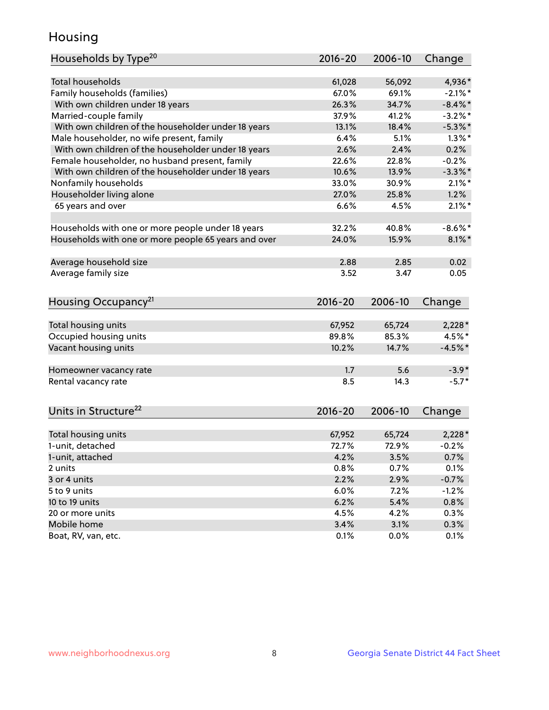## Housing

| Households by Type <sup>20</sup>                     | 2016-20         | 2006-10      | Change            |
|------------------------------------------------------|-----------------|--------------|-------------------|
|                                                      |                 |              |                   |
| <b>Total households</b>                              | 61,028          | 56,092       | 4,936*            |
| Family households (families)                         | 67.0%           | 69.1%        | $-2.1\%$ *        |
| With own children under 18 years                     | 26.3%           | 34.7%        | $-8.4\%$ *        |
| Married-couple family                                | 37.9%           | 41.2%        | $-3.2\%$ *        |
| With own children of the householder under 18 years  | 13.1%           | 18.4%        | $-5.3\%$ *        |
| Male householder, no wife present, family            | 6.4%            | 5.1%         | $1.3\%$ *         |
| With own children of the householder under 18 years  | 2.6%            | 2.4%         | 0.2%              |
| Female householder, no husband present, family       | 22.6%           | 22.8%        | $-0.2%$           |
| With own children of the householder under 18 years  | 10.6%           | 13.9%        | $-3.3\%$ *        |
| Nonfamily households                                 | 33.0%           | 30.9%        | $2.1\%$ *         |
| Householder living alone                             | 27.0%           | 25.8%        | 1.2%              |
| 65 years and over                                    | 6.6%            | 4.5%         | $2.1\%$ *         |
|                                                      |                 |              |                   |
| Households with one or more people under 18 years    | 32.2%           | 40.8%        | $-8.6\%$ *        |
| Households with one or more people 65 years and over | 24.0%           | 15.9%        | $8.1\%$ *         |
|                                                      |                 |              |                   |
| Average household size                               | 2.88            | 2.85         | 0.02              |
| Average family size                                  | 3.52            | 3.47         | 0.05              |
|                                                      |                 |              |                   |
| Housing Occupancy <sup>21</sup>                      | $2016 - 20$     | 2006-10      | Change            |
|                                                      |                 | 65,724       |                   |
| Total housing units                                  | 67,952<br>89.8% | 85.3%        | $2,228*$<br>4.5%* |
| Occupied housing units                               |                 |              |                   |
| Vacant housing units                                 | 10.2%           | 14.7%        | $-4.5%$ *         |
| Homeowner vacancy rate                               | 1.7             | 5.6          | $-3.9*$           |
| Rental vacancy rate                                  | 8.5             | 14.3         | $-5.7*$           |
|                                                      |                 |              |                   |
| Units in Structure <sup>22</sup>                     | $2016 - 20$     | 2006-10      | Change            |
| Total housing units                                  | 67,952          | 65,724       | $2,228*$          |
| 1-unit, detached                                     | 72.7%           | 72.9%        | $-0.2%$           |
|                                                      |                 |              |                   |
| 1-unit, attached                                     | 4.2%<br>0.8%    | 3.5%<br>0.7% | 0.7%              |
| 2 units                                              |                 |              | 0.1%              |
| 3 or 4 units                                         | 2.2%            | 2.9%         | $-0.7%$           |
| 5 to 9 units                                         | 6.0%            | 7.2%         | $-1.2%$           |
| 10 to 19 units                                       | 6.2%            | 5.4%         | 0.8%              |
| 20 or more units                                     | 4.5%            | 4.2%         | 0.3%              |
| Mobile home                                          | 3.4%            | 3.1%         | 0.3%              |
| Boat, RV, van, etc.                                  | 0.1%            | 0.0%         | 0.1%              |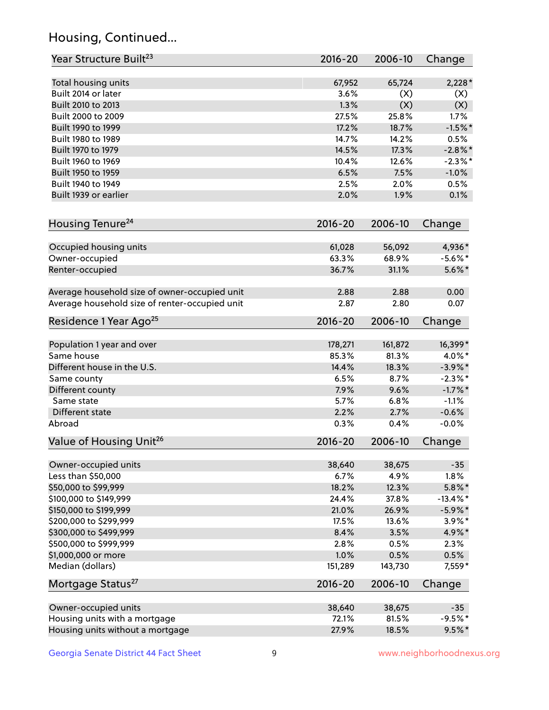## Housing, Continued...

| Year Structure Built <sup>23</sup>             | 2016-20     | 2006-10 | Change      |
|------------------------------------------------|-------------|---------|-------------|
| Total housing units                            | 67,952      | 65,724  | $2,228*$    |
| Built 2014 or later                            | 3.6%        | (X)     | (X)         |
| Built 2010 to 2013                             | 1.3%        | (X)     | (X)         |
| Built 2000 to 2009                             | 27.5%       | 25.8%   | 1.7%        |
| Built 1990 to 1999                             | 17.2%       | 18.7%   | $-1.5%$ *   |
| Built 1980 to 1989                             | 14.7%       | 14.2%   | 0.5%        |
| Built 1970 to 1979                             | 14.5%       | 17.3%   | $-2.8\%$ *  |
| Built 1960 to 1969                             | 10.4%       | 12.6%   | $-2.3\%$ *  |
| Built 1950 to 1959                             | 6.5%        | 7.5%    | $-1.0%$     |
| Built 1940 to 1949                             | 2.5%        | 2.0%    | 0.5%        |
| Built 1939 or earlier                          | 2.0%        | 1.9%    | 0.1%        |
| Housing Tenure <sup>24</sup>                   | $2016 - 20$ | 2006-10 | Change      |
|                                                |             |         |             |
| Occupied housing units                         | 61,028      | 56,092  | 4,936*      |
| Owner-occupied                                 | 63.3%       | 68.9%   | $-5.6\%$ *  |
| Renter-occupied                                | 36.7%       | 31.1%   | $5.6\%$ *   |
| Average household size of owner-occupied unit  | 2.88        | 2.88    | 0.00        |
| Average household size of renter-occupied unit | 2.87        | 2.80    | 0.07        |
| Residence 1 Year Ago <sup>25</sup>             | $2016 - 20$ | 2006-10 | Change      |
| Population 1 year and over                     | 178,271     | 161,872 | 16,399*     |
| Same house                                     | 85.3%       | 81.3%   | $4.0\%$ *   |
| Different house in the U.S.                    | 14.4%       | 18.3%   | $-3.9\%$ *  |
| Same county                                    | 6.5%        | 8.7%    | $-2.3\%$ *  |
| Different county                               | 7.9%        | 9.6%    | $-1.7\%$ *  |
| Same state                                     | 5.7%        | 6.8%    | $-1.1%$     |
| Different state                                | 2.2%        | 2.7%    | $-0.6%$     |
| Abroad                                         | 0.3%        | 0.4%    | $-0.0%$     |
| Value of Housing Unit <sup>26</sup>            | $2016 - 20$ | 2006-10 | Change      |
| Owner-occupied units                           | 38,640      | 38,675  | $-35$       |
| Less than \$50,000                             | 6.7%        | 4.9%    | 1.8%        |
| \$50,000 to \$99,999                           | 18.2%       | 12.3%   | $5.8\%$ *   |
| \$100,000 to \$149,999                         | 24.4%       | 37.8%   | $-13.4\%$ * |
| \$150,000 to \$199,999                         | 21.0%       | 26.9%   | $-5.9\%$ *  |
| \$200,000 to \$299,999                         | 17.5%       | 13.6%   | $3.9\%$ *   |
| \$300,000 to \$499,999                         | 8.4%        | 3.5%    | 4.9%*       |
| \$500,000 to \$999,999                         | 2.8%        | 0.5%    | 2.3%        |
| \$1,000,000 or more                            | 1.0%        | 0.5%    | 0.5%        |
| Median (dollars)                               | 151,289     | 143,730 | 7,559*      |
| Mortgage Status <sup>27</sup>                  | $2016 - 20$ | 2006-10 | Change      |
|                                                |             |         |             |
| Owner-occupied units                           | 38,640      | 38,675  | $-35$       |
| Housing units with a mortgage                  | 72.1%       | 81.5%   | $-9.5%$ *   |
| Housing units without a mortgage               | 27.9%       | 18.5%   | $9.5%$ *    |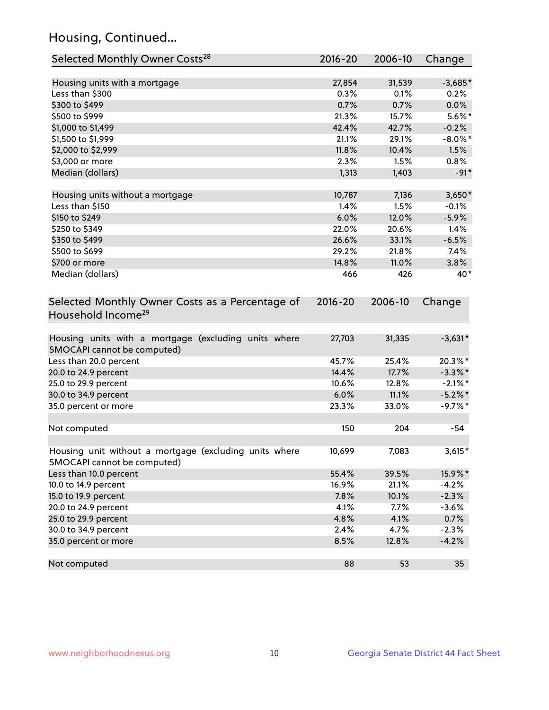## Housing, Continued...

| Selected Monthly Owner Costs <sup>28</sup>                                            | 2016-20 | 2006-10 | Change     |
|---------------------------------------------------------------------------------------|---------|---------|------------|
| Housing units with a mortgage                                                         | 27,854  | 31,539  | $-3,685*$  |
| Less than \$300                                                                       | 0.3%    | 0.1%    | 0.2%       |
| \$300 to \$499                                                                        | 0.7%    | 0.7%    | 0.0%       |
| \$500 to \$999                                                                        | 21.3%   | 15.7%   | $5.6\%*$   |
| \$1,000 to \$1,499                                                                    | 42.4%   | 42.7%   | $-0.2%$    |
| \$1,500 to \$1,999                                                                    | 21.1%   | 29.1%   | $-8.0\%$ * |
| \$2,000 to \$2,999                                                                    | 11.8%   | 10.4%   | 1.5%       |
| \$3,000 or more                                                                       | 2.3%    | 1.5%    | $0.8\%$    |
| Median (dollars)                                                                      | 1,313   | 1,403   | $-91*$     |
| Housing units without a mortgage                                                      | 10,787  | 7,136   | $3,650*$   |
| Less than \$150                                                                       | 1.4%    | 1.5%    | $-0.1%$    |
| \$150 to \$249                                                                        | 6.0%    | 12.0%   | $-5.9%$    |
| \$250 to \$349                                                                        | 22.0%   | 20.6%   | 1.4%       |
| \$350 to \$499                                                                        | 26.6%   | 33.1%   | $-6.5%$    |
| \$500 to \$699                                                                        | 29.2%   | 21.8%   | 7.4%       |
| \$700 or more                                                                         | 14.8%   | 11.0%   | 3.8%       |
| Median (dollars)                                                                      | 466     | 426     | 40*        |
| Household Income <sup>29</sup>                                                        |         |         |            |
| Housing units with a mortgage (excluding units where<br>SMOCAPI cannot be computed)   | 27,703  | 31,335  | $-3,631*$  |
| Less than 20.0 percent                                                                | 45.7%   | 25.4%   | 20.3%*     |
| 20.0 to 24.9 percent                                                                  | 14.4%   | 17.7%   | $-3.3\%$ * |
| 25.0 to 29.9 percent                                                                  | 10.6%   | 12.8%   | $-2.1\%$ * |
| 30.0 to 34.9 percent                                                                  | 6.0%    | 11.1%   | $-5.2\%$ * |
| 35.0 percent or more                                                                  | 23.3%   | 33.0%   | $-9.7%$ *  |
| Not computed                                                                          | 150     | 204     | $-54$      |
| Housing unit without a mortgage (excluding units where<br>SMOCAPI cannot be computed) | 10,699  | 7,083   | $3,615*$   |
| Less than 10.0 percent                                                                | 55.4%   | 39.5%   | 15.9%*     |
| 10.0 to 14.9 percent                                                                  | 16.9%   | 21.1%   | $-4.2%$    |
| 15.0 to 19.9 percent                                                                  | 7.8%    | 10.1%   | $-2.3%$    |
| 20.0 to 24.9 percent                                                                  | 4.1%    | 7.7%    | $-3.6%$    |
| 25.0 to 29.9 percent                                                                  | 4.8%    | 4.1%    | 0.7%       |
| 30.0 to 34.9 percent                                                                  | 2.4%    | 4.7%    | $-2.3%$    |
| 35.0 percent or more                                                                  | 8.5%    | 12.8%   | $-4.2%$    |
| Not computed                                                                          | 88      | 53      | 35         |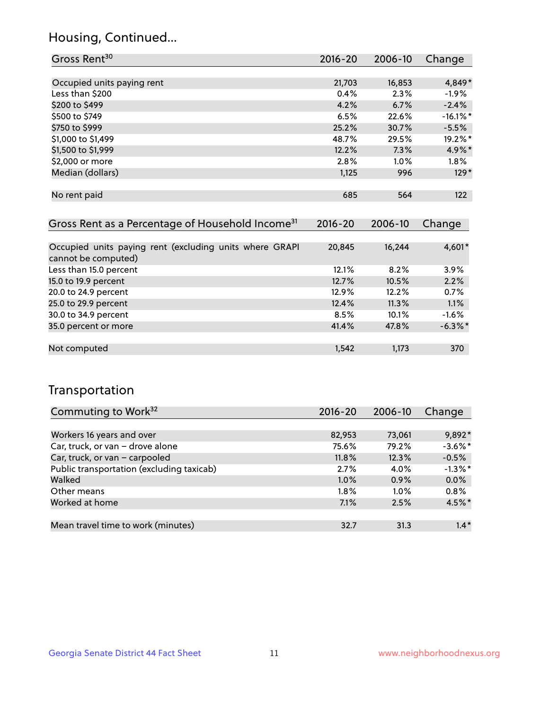## Housing, Continued...

| Gross Rent <sup>30</sup>   | 2016-20 | 2006-10 | Change      |
|----------------------------|---------|---------|-------------|
|                            |         |         |             |
| Occupied units paying rent | 21,703  | 16,853  | 4,849*      |
| Less than \$200            | 0.4%    | 2.3%    | $-1.9%$     |
| \$200 to \$499             | 4.2%    | 6.7%    | $-2.4%$     |
| \$500 to \$749             | 6.5%    | 22.6%   | $-16.1\%$ * |
| \$750 to \$999             | 25.2%   | 30.7%   | $-5.5%$     |
| \$1,000 to \$1,499         | 48.7%   | 29.5%   | 19.2%*      |
| \$1,500 to \$1,999         | 12.2%   | 7.3%    | 4.9%*       |
| \$2,000 or more            | 2.8%    | 1.0%    | $1.8\%$     |
| Median (dollars)           | 1,125   | 996     | $129*$      |
|                            |         |         |             |
| No rent paid               | 685     | 564     | 122         |
|                            |         |         |             |

| Gross Rent as a Percentage of Household Income <sup>31</sup>                   | $2016 - 20$ | 2006-10 | Change     |
|--------------------------------------------------------------------------------|-------------|---------|------------|
|                                                                                |             |         |            |
| Occupied units paying rent (excluding units where GRAPI<br>cannot be computed) | 20,845      | 16,244  | 4,601*     |
| Less than 15.0 percent                                                         | 12.1%       | 8.2%    | 3.9%       |
| 15.0 to 19.9 percent                                                           | 12.7%       | 10.5%   | 2.2%       |
| 20.0 to 24.9 percent                                                           | 12.9%       | 12.2%   | 0.7%       |
| 25.0 to 29.9 percent                                                           | 12.4%       | 11.3%   | 1.1%       |
| 30.0 to 34.9 percent                                                           | 8.5%        | 10.1%   | $-1.6%$    |
| 35.0 percent or more                                                           | 41.4%       | 47.8%   | $-6.3\%$ * |
|                                                                                |             |         |            |
| Not computed                                                                   | 1,542       | 1,173   | 370        |

## Transportation

| Commuting to Work <sup>32</sup>           | 2016-20 | 2006-10 | Change     |
|-------------------------------------------|---------|---------|------------|
|                                           |         |         |            |
| Workers 16 years and over                 | 82,953  | 73,061  | 9,892*     |
| Car, truck, or van - drove alone          | 75.6%   | 79.2%   | $-3.6\%$ * |
| Car, truck, or van - carpooled            | 11.8%   | 12.3%   | $-0.5%$    |
| Public transportation (excluding taxicab) | 2.7%    | 4.0%    | $-1.3\%$ * |
| Walked                                    | 1.0%    | 0.9%    | 0.0%       |
| Other means                               | $1.8\%$ | $1.0\%$ | 0.8%       |
| Worked at home                            | 7.1%    | 2.5%    | 4.5%*      |
|                                           |         |         |            |
| Mean travel time to work (minutes)        | 32.7    | 31.3    | $1.4*$     |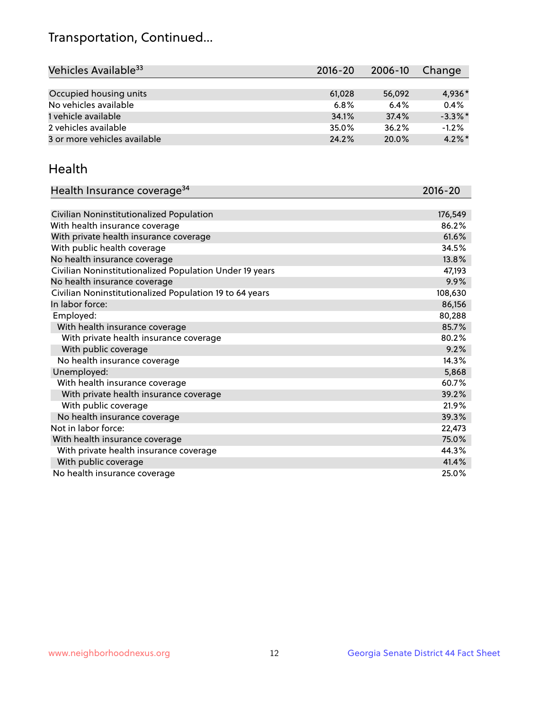## Transportation, Continued...

| Vehicles Available <sup>33</sup> | $2016 - 20$ | 2006-10 | Change     |
|----------------------------------|-------------|---------|------------|
|                                  |             |         |            |
| Occupied housing units           | 61,028      | 56,092  | 4,936*     |
| No vehicles available            | 6.8%        | 6.4%    | 0.4%       |
| 1 vehicle available              | 34.1%       | 37.4%   | $-3.3\%$ * |
| 2 vehicles available             | 35.0%       | 36.2%   | $-1.2%$    |
| 3 or more vehicles available     | 24.2%       | 20.0%   | $4.2\%$ *  |

#### Health

| Health Insurance coverage <sup>34</sup>                 | 2016-20 |
|---------------------------------------------------------|---------|
|                                                         |         |
| Civilian Noninstitutionalized Population                | 176,549 |
| With health insurance coverage                          | 86.2%   |
| With private health insurance coverage                  | 61.6%   |
| With public health coverage                             | 34.5%   |
| No health insurance coverage                            | 13.8%   |
| Civilian Noninstitutionalized Population Under 19 years | 47,193  |
| No health insurance coverage                            | 9.9%    |
| Civilian Noninstitutionalized Population 19 to 64 years | 108,630 |
| In labor force:                                         | 86,156  |
| Employed:                                               | 80,288  |
| With health insurance coverage                          | 85.7%   |
| With private health insurance coverage                  | 80.2%   |
| With public coverage                                    | 9.2%    |
| No health insurance coverage                            | 14.3%   |
| Unemployed:                                             | 5,868   |
| With health insurance coverage                          | 60.7%   |
| With private health insurance coverage                  | 39.2%   |
| With public coverage                                    | 21.9%   |
| No health insurance coverage                            | 39.3%   |
| Not in labor force:                                     | 22,473  |
| With health insurance coverage                          | 75.0%   |
| With private health insurance coverage                  | 44.3%   |
| With public coverage                                    | 41.4%   |
| No health insurance coverage                            | 25.0%   |